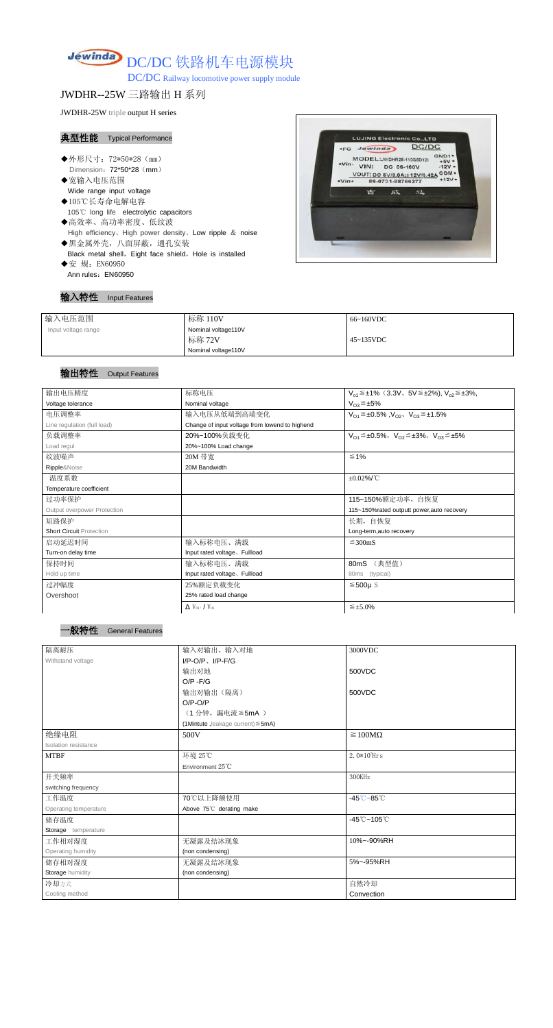

DC/DC Railway locomotive power supply module

JWDHR--25W 三路输出 H 系列

JWDHR-25W triple output H series

#### 典型性能 Typical Performance

- ◆外形尺寸: 72\*50\*28 (mm) Dimension: 72\*50\*28 (mm)
- ◆宽输入电压范围 Wide range input voltage
- ◆105℃长寿命电解电容 105℃ long life electrolytic capacitors ◆高效率、高功率密度、低纹波
- High efficiency、High power density、Low ripple & noise
- ◆黑金属外壳,八面屏蔽,通孔安装 Black metal shell, Eight face shield, Hole is installed
- ◆安 规: EN60950 Ann rules: EN60950

# 输入特性 Input Features



| 输入电压范围              | 标称 110V             | 66~160VDC         |
|---------------------|---------------------|-------------------|
| Input voltage range | Nominal voltage110V |                   |
|                     | 标称 72V              | $45 \sim 135$ VDC |
|                     | Nominal voltage110V |                   |

## 输出特性 Output Features



| 输出电压精度                          | 标称电压<br>$V_{01} \leq \pm 1\%$ (3.3V, 5V $\leq \pm 2\%$ ), $V_{02} \leq \pm 3\%$ , |                                                                         |  |
|---------------------------------|-----------------------------------------------------------------------------------|-------------------------------------------------------------------------|--|
| Voltage tolerance               | Nominal voltage                                                                   | $V_{O3} \leq \pm 5\%$                                                   |  |
| 电压调整率                           | 输入电压从低端到高端变化<br>$V_{O1} \leq \pm 0.5\%$ , $V_{O2}$ , $V_{O3} \leq \pm 1.5\%$      |                                                                         |  |
| Line regulation (full load)     | Change of input voltage from lowend to highend                                    |                                                                         |  |
| 负载调整率                           | 20%~100%负载变化                                                                      | $V_{O1} \leq \pm 0.5\%$ , $V_{O2} \leq \pm 3\%$ , $V_{O3} \leq \pm 5\%$ |  |
| Load regul                      | 20%~100% Load change                                                              |                                                                         |  |
| 纹波噪声                            | 20M 带宽                                                                            | $\leq 1\%$                                                              |  |
| Ripple&Noise                    | 20M Bandwidth                                                                     |                                                                         |  |
| 温度系数                            |                                                                                   | $\pm 0.02\%$ /°C                                                        |  |
| Temperature coefficient         |                                                                                   |                                                                         |  |
| 过功率保护                           |                                                                                   | 115~150%额定功率,自恢复                                                        |  |
| Output overpower Protection     |                                                                                   | 115~150%rated outputt power, auto recovery                              |  |
| 短路保护                            |                                                                                   | 长期, 自恢复                                                                 |  |
| <b>Short Circuit Protection</b> |                                                                                   | Long-term, auto recovery                                                |  |
| 启动延迟时间                          | 输入标称电压、满载                                                                         | $\leq$ 300mS                                                            |  |
| Turn-on delay time              | Input rated voltage, Fullload                                                     |                                                                         |  |
| 保持时间                            | 输入标称电压、满载                                                                         | (典型值)<br>80mS                                                           |  |
| Hold up time                    | Input rated voltage, Fullload                                                     | 80ms (typical)                                                          |  |
| 过冲幅度                            | 25%额定负载变化                                                                         | $≤500µ$ S                                                               |  |
| Overshoot                       | 25% rated load change                                                             |                                                                         |  |
|                                 |                                                                                   |                                                                         |  |

| $\Delta$ V <sub>01</sub> /V <sub>01</sub> | $\leq$ ±5.0% |
|-------------------------------------------|--------------|
|-------------------------------------------|--------------|

| 隔离耐压                        | 输入对输出、输入对地                              | 3000VDC                                     |
|-----------------------------|-----------------------------------------|---------------------------------------------|
| Withstand voltage           | $I/P-O/P$ , $I/P-F/G$                   |                                             |
|                             | 输出对地                                    | 500VDC                                      |
|                             | $O/P - F/G$                             |                                             |
|                             | 输出对输出(隔离)                               | 500VDC                                      |
|                             | $O/P-O/P$                               |                                             |
|                             | (1分钟, 漏电流 ≦ 5mA)                        |                                             |
|                             | (1Mintute, leakage current) $\leq$ 5mA) |                                             |
| 绝缘电阻                        | 500V                                    | $\geq 100M\Omega$                           |
| <b>Isolation resistance</b> |                                         |                                             |
| <b>MTBF</b>                 | 环境 25℃                                  | $2.0*105$ Hrs                               |
|                             | Environment 25°C                        |                                             |
| 开关频率                        |                                         | 300KHz                                      |
| switching frequency         |                                         |                                             |
| 工作温度                        | 70℃以上降额使用                               | $-45^{\circ}\text{C} - 85^{\circ}\text{C}$  |
| Operating temperature       | Above 75°C derating make                |                                             |
| 储存温度                        |                                         | $-45^{\circ}\text{C} - 105^{\circ}\text{C}$ |
| Storage temperature         |                                         |                                             |
| 工作相对湿度                      | 无凝露及结冰现象                                | 10%~-90%RH                                  |
| Operating humidity          | (non condensing)                        |                                             |
| 储存相对湿度                      | 无凝露及结冰现象                                | 5%~-95%RH                                   |
| <b>Storage humidity</b>     | (non condensing)                        |                                             |
| 冷却方式                        |                                         | 自然冷却                                        |
| Cooling method              |                                         | Convection                                  |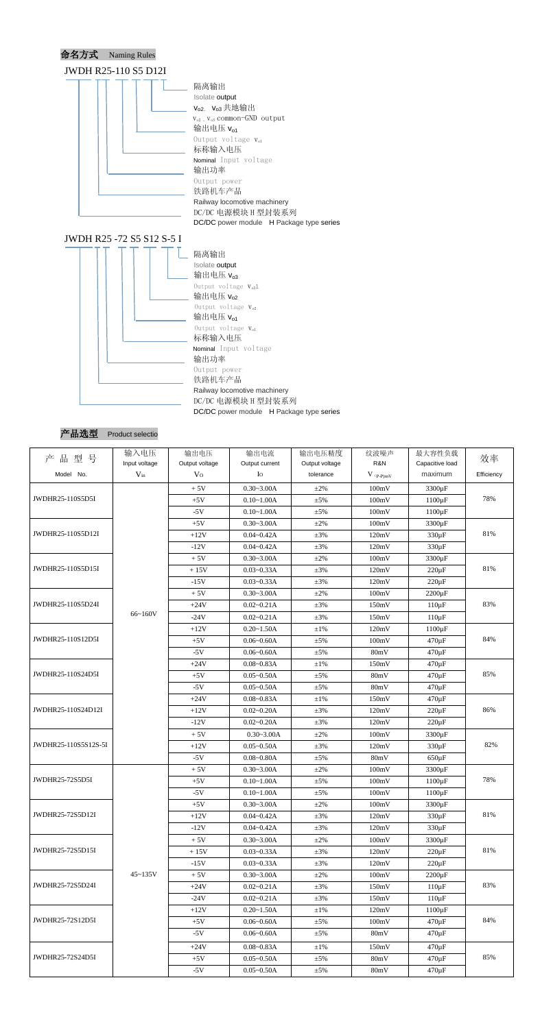





| 品型号<br>产             | 输入电压          | 输出电压           | 输出电流           | 输出电压精度         | 纹波噪声        | 最大容性负载                    | 效率         |
|----------------------|---------------|----------------|----------------|----------------|-------------|---------------------------|------------|
|                      | Input voltage | Output voltage | Output current | Output voltage | R&N         | Capacitive load           |            |
| Model No.            | $V_{in}$      | V <sub>0</sub> | Io             | tolerance      | $V$ (p-P)mV | maximum                   | Efficiency |
|                      |               | $+5V$          | $0.30 - 3.00A$ | $\pm 2\%$      | 100mV       | 3300 µF                   |            |
| JWDHR25-110S5D5I     |               | $+5V$          | $0.10 - 1.00A$ | $\pm$ 5%       | 100mV       | $1100 \,\mathrm{\upmu F}$ | 78%        |
|                      |               | $-5V$          | $0.10 - 1.00A$ | $\pm$ 5%       | 100mV       | $1100 \,\mathrm{\upmu F}$ |            |
|                      |               | $+5V$          | $0.30 - 3.00A$ | $\pm 2\%$      | 100mV       | 3300 µF                   |            |
| JWDHR25-110S5D12I    |               | $+12V$         | $0.04 - 0.42A$ | $\pm 3\%$      | 120mV       | 330 µF                    | 81%        |
|                      |               | $-12V$         | $0.04 - 0.42A$ | $\pm 3\%$      | 120mV       | $330 \,\mathrm{\upmu F}$  |            |
|                      |               | $+5V$          | $0.30 - 3.00A$ | $\pm 2\%$      | 100mV       | 3300 µF                   |            |
| JWDHR25-110S5D15I    |               | $+15V$         | $0.03 - 0.33A$ | $\pm 3\%$      | 120mV       | $220 \,\mathrm{\upmu F}$  | 81%        |
|                      |               | $-15V$         | $0.03 - 0.33A$ | $\pm 3\%$      | 120mV       | $220 \mu F$               |            |
|                      |               | $+5V$          | $0.30 - 3.00A$ | $\pm 2\%$      | 100mV       | $2200 \,\mathrm{\upmu F}$ |            |
| JWDHR25-110S5D24I    |               | $+24V$         | $0.02 - 0.21A$ | $\pm 3\%$      | 150mV       | $110 \,\mathrm{\upmu F}$  | 83%        |
|                      | 66~160V       | $-24V$         | $0.02 - 0.21A$ | $\pm 3\%$      | 150mV       | $110 \mu F$               |            |
|                      |               | $+12V$         | $0.20 - 1.50A$ | $\pm 1\%$      | 120mV       | $1100 \,\mathrm{\upmu F}$ |            |
| JWDHR25-110S12D5I    |               | $+5V$          | $0.06 - 0.60A$ | $\pm$ 5%       | 100mV       | $470 \,\mathrm{\upmu F}$  | 84%        |
|                      |               | $-5V$          | $0.06 - 0.60A$ | $\pm$ 5%       | 80mV        | $470 \,\mathrm{\upmu F}$  |            |
|                      |               | $+24V$         | $0.08 - 0.83A$ | $\pm 1\%$      | 150mV       | $470 \,\mathrm{\upmu F}$  |            |
| JWDHR25-110S24D5I    |               | $+5V$          | $0.05 - 0.50A$ | ±5%            | 80mV        | $470 \,\mathrm{\upmu F}$  | 85%        |
|                      |               | $-5V$          | $0.05 - 0.50A$ | $\pm$ 5%       | 80mV        | $470 \,\mathrm{\upmu F}$  |            |
|                      |               | $+24V$         | $0.08 - 0.83A$ | $\pm 1\%$      | 150mV       | $470 \,\mathrm{\upmu F}$  |            |
| JWDHR25-110S24D12I   |               | $+12V$         | $0.02 - 0.20A$ | $\pm 3\%$      | 120mV       | $220 \mu F$               | 86%        |
|                      |               | $-12V$         | $0.02 - 0.20A$ | $\pm 3\%$      | 120mV       | $220 \mu F$               |            |
|                      |               | $+5V$          | $0.30 - 3.00A$ | $\pm 2\%$      | 100mV       | 3300 µF                   |            |
| JWDHR25-110S5S12S-5I |               | $+12V$         | $0.05 - 0.50A$ | $\pm 3\%$      | 120mV       | 330 µF                    | 82%        |
|                      |               | $-5V$          | $0.08 - 0.80A$ | $\pm$ 5%       | 80mV        | $650 \,\mathrm{\upmu F}$  |            |
|                      |               | $+5V$          | $0.30 - 3.00A$ | $\pm 2\%$      | 100mV       | $3300 \,\mathrm{\upmu F}$ |            |
| JWDHR25-72S5D5I      |               | $+5V$          | $0.10 - 1.00A$ | $\pm$ 5%       | 100mV       | $1100 \,\mathrm{\upmu F}$ | 78%        |
|                      |               | $-5V$          | $0.10 - 1.00A$ | $\pm$ 5%       | 100mV       | $1100 \,\mathrm{\upmu F}$ |            |
|                      |               | $+5V$          | $0.30 - 3.00A$ | $\pm 2\%$      | 100mV       | 3300 µF                   |            |
| JWDHR25-72S5D12I     |               | $+12V$         | $0.04 - 0.42A$ | $\pm 3\%$      | 120mV       | $330 \,\mathrm{\upmu F}$  | 81%        |
|                      |               | $-12V$         | $0.04 - 0.42A$ | $\pm 3\%$      | 120mV       | $330 \,\mathrm{\upmu F}$  |            |
|                      |               | $+5V$          | $0.30 - 3.00A$ | $\pm 2\%$      | 100mV       | 3300 µF                   |            |
| JWDHR25-72S5D15I     |               | $+15V$         | $0.03 - 0.33A$ | $\pm 3\%$      | 120mV       | $220 \mu F$               | 81%        |
|                      |               | $-15V$         | $0.03 - 0.33A$ | $\pm 3\%$      | 120mV       | $220 \mu F$               |            |
|                      | $45 - 135V$   | $+5V$          | $0.30 - 3.00A$ | $\pm 2\%$      | 100mV       | $2200 \,\mathrm{\upmu F}$ |            |
| JWDHR25-72S5D24I     |               | $+24V$         | $0.02 - 0.21A$ | $\pm 3\%$      | 150mV       | $110 \mu F$               | 83%        |
|                      |               | $-24V$         | $0.02 - 0.21A$ | $\pm 3\%$      | 150mV       | $110 \,\mathrm{\upmu F}$  |            |
|                      |               | $+12V$         | $0.20 - 1.50A$ | $\pm 1\%$      | 120mV       | $1100 \,\mathrm{\upmu F}$ |            |
| JWDHR25-72S12D5I     |               | $+5V$          | $0.06 - 0.60A$ | $\pm$ 5%       | 100mV       | $470 \,\mathrm{\upmu F}$  | 84%        |
|                      |               | $-5V$          | $0.06 - 0.60A$ | $\pm$ 5%       | 80mV        | $470 \,\mathrm{\upmu F}$  |            |
|                      |               | $+24V$         | $0.08 - 0.83A$ | $\pm 1\%$      | 150mV       | $470 \,\mathrm{\upmu F}$  |            |
| JWDHR25-72S24D5I     |               | $+5V$          | $0.05 - 0.50A$ | $\pm$ 5%       | 80mV        | $470 \,\mathrm{\upmu F}$  | 85%        |
|                      |               | $-5V$          | $0.05 - 0.50A$ | $\pm$ 5%       | 80mV        | $470 \,\mathrm{\upmu F}$  |            |